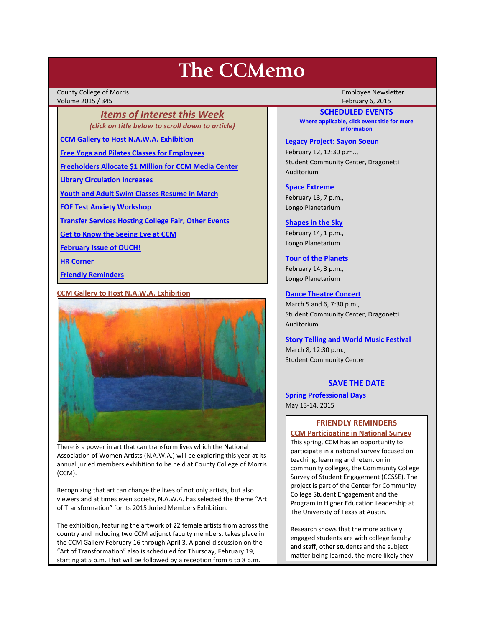# **The CCMemo**

County College of Morris Employee Newsletter Volume 2015 / 345 February 6, 2015

# *Items of Interest this Week (click on title below to scroll down to article)*

**[CCM Gallery to Host N.A.W.A. Exhibition](#page-0-0)**

**[Free Yoga and Pilates Classes for Employees](#page-1-0)**

**[Freeholders Allocate \\$1 Million for CCM Media Center](#page-1-1)**

**[Library Circulation Increases](#page-1-2)**

**[Youth and Adult Swim Classes Resume in March](#page-1-3)**

**[EOF Test Anxiety Workshop](#page-2-0)**

**[Transfer Services Hosting College Fair, Other Events](#page-2-1)**

**[Get to Know the Seeing Eye at CCM](#page-2-2)**

**[February Issue of OUCH!](#page-2-3)**

**[HR Corner](#page-2-4)**

**[Friendly Reminders](#page-0-1)**

## <span id="page-0-0"></span>**CCM Gallery to Host N.A.W.A. Exhibition**



There is a power in art that can transform lives which the National Association of Women Artists (N.A.W.A.) will be exploring this year at its annual juried members exhibition to be held at County College of Morris (CCM).

Recognizing that art can change the lives of not only artists, but also viewers and at times even society, N.A.W.A. has selected the theme "Art of Transformation" for its 2015 Juried Members Exhibition.

The exhibition, featuring the artwork of 22 female artists from across the country and including two CCM adjunct faculty members, takes place in the CCM Gallery February 16 through April 3. A panel discussion on the "Art of Transformation" also is scheduled for Thursday, February 19, starting at 5 p.m. That will be followed by a reception from 6 to 8 p.m.

#### **SCHEDULED EVENTS**

**Where applicable, click event title for more information**

**[Legacy Project: Sayon Soeun](http://www.ccm.edu/newsEvents/newsDetails.aspx?Channel=%2fChannels%2fSitewide&WorkflowItemID=601f38ee-268d-410e-a581-f50a52c17e87)**

February 12, 12:30 p.m.., Student Community Center, Dragonetti Auditorium

**[Space Extreme](http://www.ccm.edu/newsEvents/eventDetails.aspx?Channel=/Channels/Sitewide&WorkflowItemID=1874a4b0-0bcb-4ed1-a29e-7b4f8d25e45d)**

February 13, 7 p.m., Longo Planetarium

#### **[Shapes in the Sky](http://www.ccm.edu/newsEvents/eventDetails.aspx?Channel=/Channels/Sitewide&WorkflowItemID=1922c928-86d3-4e75-b6a2-fd618033989c)**

February 14, 1 p.m., Longo Planetarium

**[Tour of the Planets](http://www.ccm.edu/newsEvents/eventDetails.aspx?Channel=/Channels/Sitewide&WorkflowItemID=5834aa20-68ba-4fa2-a3ac-75b2311ba441)**

February 14, 3 p.m., Longo Planetarium

#### **[Dance Theatre Concert](http://www.ccm.edu/newsEvents/eventDetails.aspx?Channel=/Channels/Sitewide&WorkflowItemID=8b9404b8-1d28-4705-baf2-b5988294d52c)**

March 5 and 6, 7:30 p.m., Student Community Center, Dragonetti Auditorium

## **[Story Telling and World Music Festival](http://www.ccm.edu/newsEvents/eventDetails.aspx?Channel=/Channels/Sitewide&WorkflowItemID=f1a19a2c-8779-4641-b8c2-597d95663b24)**

March 8, 12:30 p.m., Student Community Center

# \_\_\_\_\_\_\_\_\_\_\_\_\_\_\_\_\_\_\_\_\_\_\_\_\_\_\_\_\_\_\_\_ **SAVE THE DATE**

## **Spring Professional Days** May 13-14, 2015

## **FRIENDLY REMINDERS**

<span id="page-0-1"></span>**CCM Participating in National Survey** This spring, CCM has an opportunity to participate in a national survey focused on teaching, learning and retention in community colleges, the Community College Survey of Student Engagement (CCSSE). The project is part of the Center for Community College Student Engagement and the Program in Higher Education Leadership at The University of Texas at Austin.

Research shows that the more actively engaged students are with college faculty and staff, other students and the subject matter being learned, the more likely they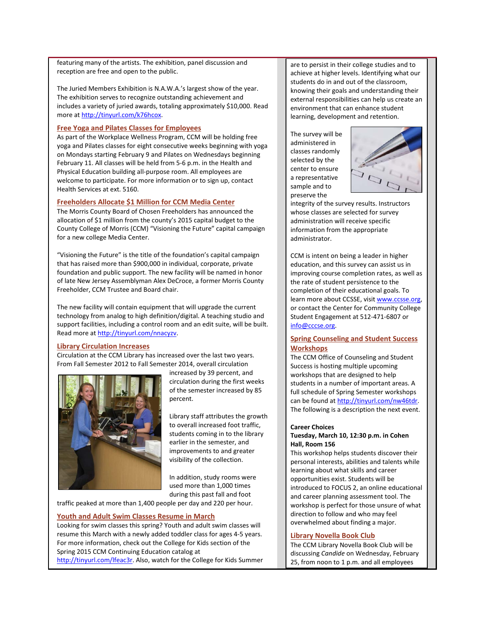featuring many of the artists. The exhibition, panel discussion and reception are free and open to the public.

The Juried Members Exhibition is N.A.W.A.'s largest show of the year. The exhibition serves to recognize outstanding achievement and includes a variety of juried awards, totaling approximately \$10,000. Read more at [http://tinyurl.com/k76hcox.](http://tinyurl.com/k76hcox)

#### <span id="page-1-0"></span>**Free Yoga and Pilates Classes for Employees**

As part of the Workplace Wellness Program, CCM will be holding free yoga and Pilates classes for eight consecutive weeks beginning with yoga on Mondays starting February 9 and Pilates on Wednesdays beginning February 11. All classes will be held from 5-6 p.m. in the Health and Physical Education building all-purpose room. All employees are welcome to participate. For more information or to sign up, contact Health Services at ext. 5160.

#### <span id="page-1-1"></span>**Freeholders Allocate \$1 Million for CCM Media Center**

The Morris County Board of Chosen Freeholders has announced the allocation of \$1 million from the county's 2015 capital budget to the County College of Morris (CCM) "Visioning the Future" capital campaign for a new college Media Center.

"Visioning the Future" is the title of the foundation's capital campaign that has raised more than \$900,000 in individual, corporate, private foundation and public support. The new facility will be named in honor of late New Jersey Assemblyman Alex DeCroce, a former Morris County Freeholder, CCM Trustee and Board chair.

The new facility will contain equipment that will upgrade the current technology from analog to high definition/digital. A teaching studio and support facilities, including a control room and an edit suite, will be built. Read more a[t http://tinyurl.com/nnacyzv.](http://tinyurl.com/nnacyzv)

#### <span id="page-1-2"></span>**Library Circulation Increases**

Circulation at the CCM Library has increased over the last two years. From Fall Semester 2012 to Fall Semester 2014, overall circulation



increased by 39 percent, and circulation during the first weeks of the semester increased by 85 percent.

Library staff attributes the growth to overall increased foot traffic, students coming in to the library earlier in the semester, and improvements to and greater visibility of the collection.

In addition, study rooms were used more than 1,000 times during this past fall and foot

traffic peaked at more than 1,400 people per day and 220 per hour.

#### <span id="page-1-3"></span>**Youth and Adult Swim Classes Resume in March**

Looking for swim classes this spring? Youth and adult swim classes will resume this March with a newly added toddler class for ages 4-5 years. For more information, check out the College for Kids section of the Spring 2015 CCM Continuing Education catalog at [http://tinyurl.com/lfeac3r.](http://tinyurl.com/lfeac3r) Also, watch for the College for Kids Summer are to persist in their college studies and to achieve at higher levels. Identifying what our students do in and out of the classroom, knowing their goals and understanding their external responsibilities can help us create an environment that can enhance student learning, development and retention.

The survey will be administered in classes randomly selected by the center to ensure a representative sample and to preserve the



integrity of the survey results. Instructors whose classes are selected for survey administration will receive specific information from the appropriate administrator.

CCM is intent on being a leader in higher education, and this survey can assist us in improving course completion rates, as well as the rate of student persistence to the completion of their educational goals. To learn more about CCSSE, visit [www.ccsse.org,](http://www.ccsse.org/) or contact the Center for Community College Student Engagement at 512-471-6807 or [info@cccse.org.](mailto:info@cccse.org)

## **Spring Counseling and Student Success Workshops**

The CCM Office of Counseling and Student Success is hosting multiple upcoming workshops that are designed to help students in a number of important areas. A full schedule of Spring Semester workshops can be found at http://tinyurl.com/nw46tdr. The following is a description the next event.

## **Career Choices**

## **Tuesday, March 10, 12:30 p.m. in Cohen Hall, Room 156**

This workshop helps students discover their personal interests, abilities and talents while learning about what skills and career opportunities exist. Students will be introduced to FOCUS 2, an online educational and career planning assessment tool. The workshop is perfect for those unsure of what direction to follow and who may feel overwhelmed about finding a major.

#### **Library Novella Book Club**

The CCM Library Novella Book Club will be discussing *Candide* on Wednesday, February 25, from noon to 1 p.m. and all employees